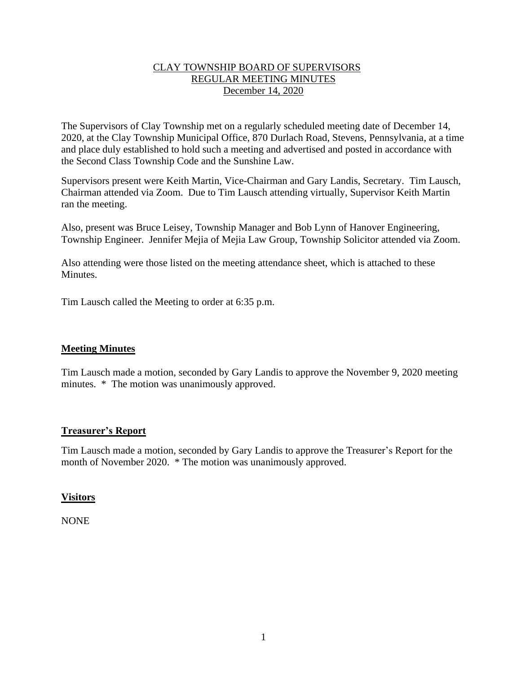### CLAY TOWNSHIP BOARD OF SUPERVISORS REGULAR MEETING MINUTES December 14, 2020

The Supervisors of Clay Township met on a regularly scheduled meeting date of December 14, 2020, at the Clay Township Municipal Office, 870 Durlach Road, Stevens, Pennsylvania, at a time and place duly established to hold such a meeting and advertised and posted in accordance with the Second Class Township Code and the Sunshine Law.

Supervisors present were Keith Martin, Vice-Chairman and Gary Landis, Secretary. Tim Lausch, Chairman attended via Zoom. Due to Tim Lausch attending virtually, Supervisor Keith Martin ran the meeting.

Also, present was Bruce Leisey, Township Manager and Bob Lynn of Hanover Engineering, Township Engineer. Jennifer Mejia of Mejia Law Group, Township Solicitor attended via Zoom.

Also attending were those listed on the meeting attendance sheet, which is attached to these Minutes.

Tim Lausch called the Meeting to order at 6:35 p.m.

# **Meeting Minutes**

Tim Lausch made a motion, seconded by Gary Landis to approve the November 9, 2020 meeting minutes. \* The motion was unanimously approved.

# **Treasurer's Report**

Tim Lausch made a motion, seconded by Gary Landis to approve the Treasurer's Report for the month of November 2020. \* The motion was unanimously approved.

### **Visitors**

NONE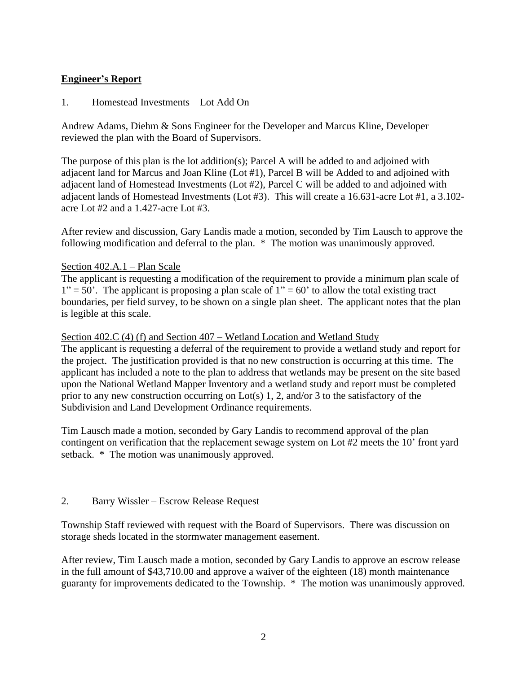# **Engineer's Report**

1. Homestead Investments – Lot Add On

Andrew Adams, Diehm & Sons Engineer for the Developer and Marcus Kline, Developer reviewed the plan with the Board of Supervisors.

The purpose of this plan is the lot addition(s); Parcel A will be added to and adjoined with adjacent land for Marcus and Joan Kline (Lot #1), Parcel B will be Added to and adjoined with adjacent land of Homestead Investments (Lot #2), Parcel C will be added to and adjoined with adjacent lands of Homestead Investments (Lot #3). This will create a 16.631-acre Lot #1, a 3.102 acre Lot #2 and a 1.427-acre Lot #3.

After review and discussion, Gary Landis made a motion, seconded by Tim Lausch to approve the following modification and deferral to the plan. \* The motion was unanimously approved.

### Section 402.A.1 – Plan Scale

The applicant is requesting a modification of the requirement to provide a minimum plan scale of  $1" = 50'$ . The applicant is proposing a plan scale of  $1" = 60'$  to allow the total existing tract boundaries, per field survey, to be shown on a single plan sheet. The applicant notes that the plan is legible at this scale.

### Section 402.C (4) (f) and Section 407 – Wetland Location and Wetland Study

The applicant is requesting a deferral of the requirement to provide a wetland study and report for the project. The justification provided is that no new construction is occurring at this time. The applicant has included a note to the plan to address that wetlands may be present on the site based upon the National Wetland Mapper Inventory and a wetland study and report must be completed prior to any new construction occurring on Lot(s) 1, 2, and/or 3 to the satisfactory of the Subdivision and Land Development Ordinance requirements.

Tim Lausch made a motion, seconded by Gary Landis to recommend approval of the plan contingent on verification that the replacement sewage system on Lot #2 meets the 10' front yard setback. \* The motion was unanimously approved.

### 2. Barry Wissler – Escrow Release Request

Township Staff reviewed with request with the Board of Supervisors. There was discussion on storage sheds located in the stormwater management easement.

After review, Tim Lausch made a motion, seconded by Gary Landis to approve an escrow release in the full amount of \$43,710.00 and approve a waiver of the eighteen (18) month maintenance guaranty for improvements dedicated to the Township. \* The motion was unanimously approved.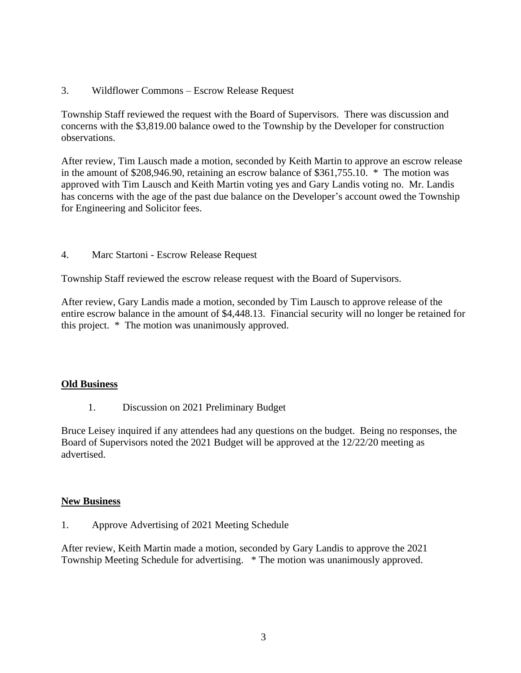3. Wildflower Commons – Escrow Release Request

Township Staff reviewed the request with the Board of Supervisors. There was discussion and concerns with the \$3,819.00 balance owed to the Township by the Developer for construction observations.

After review, Tim Lausch made a motion, seconded by Keith Martin to approve an escrow release in the amount of \$208,946.90, retaining an escrow balance of \$361,755.10. \* The motion was approved with Tim Lausch and Keith Martin voting yes and Gary Landis voting no. Mr. Landis has concerns with the age of the past due balance on the Developer's account owed the Township for Engineering and Solicitor fees.

4. Marc Startoni - Escrow Release Request

Township Staff reviewed the escrow release request with the Board of Supervisors.

After review, Gary Landis made a motion, seconded by Tim Lausch to approve release of the entire escrow balance in the amount of \$4,448.13. Financial security will no longer be retained for this project. \* The motion was unanimously approved.

### **Old Business**

1. Discussion on 2021 Preliminary Budget

Bruce Leisey inquired if any attendees had any questions on the budget. Being no responses, the Board of Supervisors noted the 2021 Budget will be approved at the 12/22/20 meeting as advertised.

### **New Business**

1. Approve Advertising of 2021 Meeting Schedule

After review, Keith Martin made a motion, seconded by Gary Landis to approve the 2021 Township Meeting Schedule for advertising. \* The motion was unanimously approved.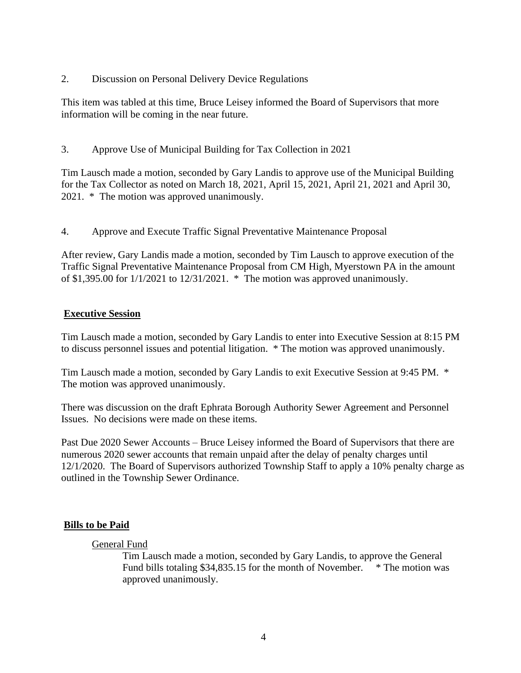2. Discussion on Personal Delivery Device Regulations

This item was tabled at this time, Bruce Leisey informed the Board of Supervisors that more information will be coming in the near future.

3. Approve Use of Municipal Building for Tax Collection in 2021

Tim Lausch made a motion, seconded by Gary Landis to approve use of the Municipal Building for the Tax Collector as noted on March 18, 2021, April 15, 2021, April 21, 2021 and April 30, 2021. \* The motion was approved unanimously.

4. Approve and Execute Traffic Signal Preventative Maintenance Proposal

After review, Gary Landis made a motion, seconded by Tim Lausch to approve execution of the Traffic Signal Preventative Maintenance Proposal from CM High, Myerstown PA in the amount of \$1,395.00 for 1/1/2021 to 12/31/2021. \* The motion was approved unanimously.

#### **Executive Session**

Tim Lausch made a motion, seconded by Gary Landis to enter into Executive Session at 8:15 PM to discuss personnel issues and potential litigation. \* The motion was approved unanimously.

Tim Lausch made a motion, seconded by Gary Landis to exit Executive Session at 9:45 PM. \* The motion was approved unanimously.

There was discussion on the draft Ephrata Borough Authority Sewer Agreement and Personnel Issues. No decisions were made on these items.

Past Due 2020 Sewer Accounts – Bruce Leisey informed the Board of Supervisors that there are numerous 2020 sewer accounts that remain unpaid after the delay of penalty charges until 12/1/2020. The Board of Supervisors authorized Township Staff to apply a 10% penalty charge as outlined in the Township Sewer Ordinance.

### **Bills to be Paid**

#### General Fund

Tim Lausch made a motion, seconded by Gary Landis, to approve the General Fund bills totaling \$34,835.15 for the month of November. \* The motion was approved unanimously.